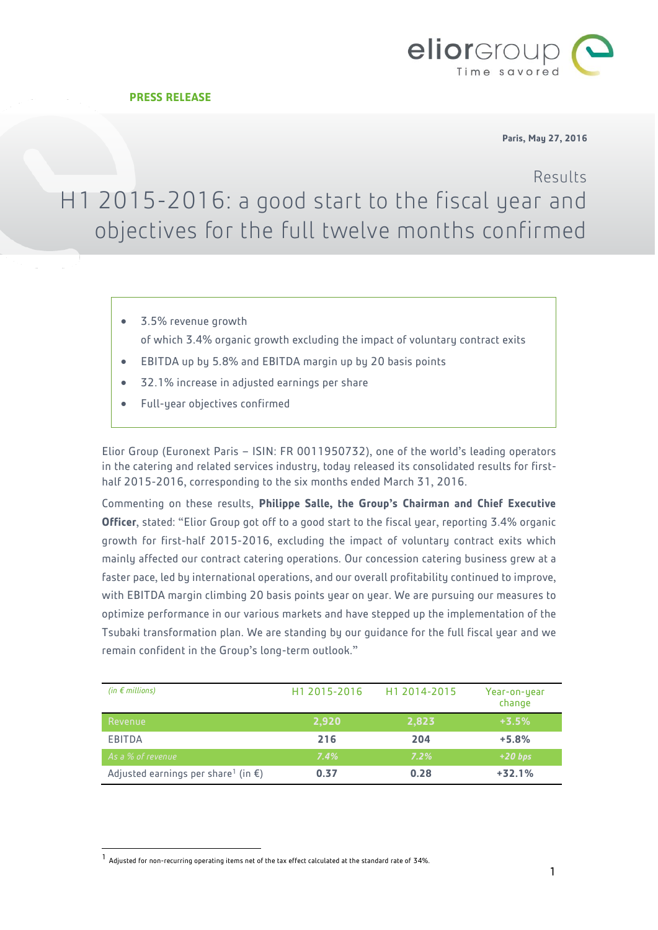

#### **Paris, May 27, 2016**

Results

# H1 2015-2016: a good start to the fiscal year and objectives for the full twelve months confirmed

- 3.5% revenue growth of which 3.4% organic growth excluding the impact of voluntary contract exits
- EBITDA up by 5.8% and EBITDA margin up by 20 basis points
- 32.1% increase in adjusted earnings per share
- Full-year objectives confirmed

Elior Group (Euronext Paris – ISIN: FR 0011950732), one of the world's leading operators in the catering and related services industry, today released its consolidated results for firsthalf 2015-2016, corresponding to the six months ended March 31, 2016.

Commenting on these results, **Philippe Salle, the Group's Chairman and Chief Executive Officer**, stated: "Elior Group got off to a good start to the fiscal year, reporting 3.4% organic growth for first-half 2015-2016, excluding the impact of voluntary contract exits which mainly affected our contract catering operations. Our concession catering business grew at a faster pace, led by international operations, and our overall profitability continued to improve, with EBITDA margin climbing 20 basis points year on year. We are pursuing our measures to optimize performance in our various markets and have stepped up the implementation of the Tsubaki transformation plan. We are standing by our guidance for the full fiscal year and we remain confident in the Group's long-term outlook."

| (in $\epsilon$ millions)                                  | H <sub>1</sub> 2015-2016 | H1 2014-2015 | Year-on-year<br>change |
|-----------------------------------------------------------|--------------------------|--------------|------------------------|
| Revenue                                                   | 2,920                    | 2,823        | $+3.5%$                |
| EBITDA                                                    | 216                      | 204          | $+5.8%$                |
| As a % of revenue                                         | 7.4%                     | $7.2\%$      | $+20$ bps              |
| Adjusted earnings per share <sup>1</sup> (in $\epsilon$ ) | 0.37                     | 0.28         | $+32.1%$               |

l

<sup>1</sup> Adjusted for non-recurring operating items net of the tax effect calculated at the standard rate of 34%.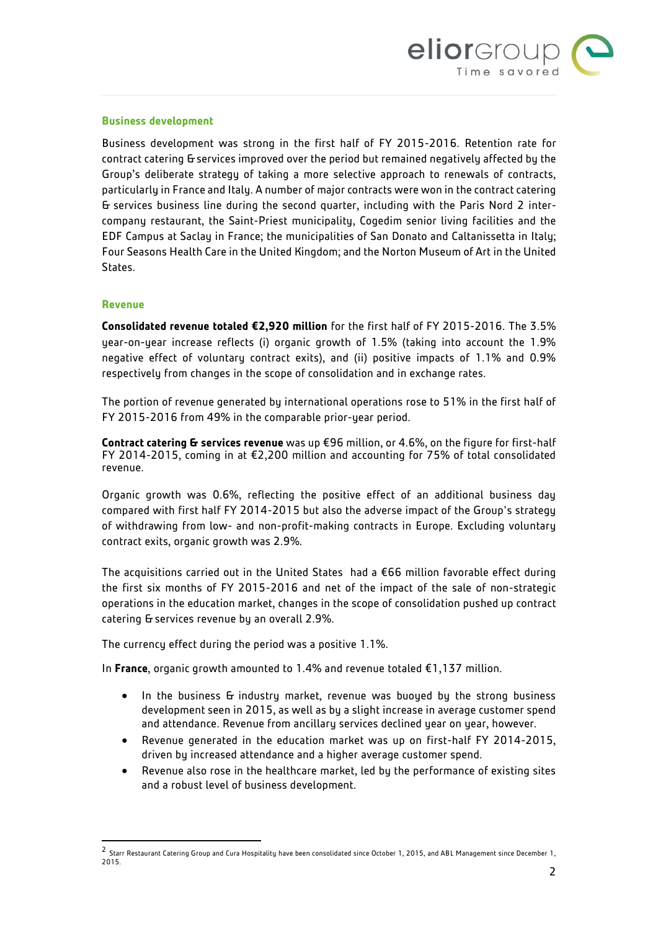

#### **Business development**

Business development was strong in the first half of FY 2015-2016. Retention rate for contract catering & services improved over the period but remained negatively affected by the Group's deliberate strategy of taking a more selective approach to renewals of contracts, particularly in France and Italy. A number of major contracts were won in the contract catering & services business line during the second quarter, including with the Paris Nord 2 intercompany restaurant, the Saint-Priest municipality, Cogedim senior living facilities and the EDF Campus at Saclay in France; the municipalities of San Donato and Caltanissetta in Italy; Four Seasons Health Care in the United Kingdom; and the Norton Museum of Art in the United States.

#### **Revenue**

l

**Consolidated revenue totaled €2,920 million** for the first half of FY 2015-2016. The 3.5% year-on-year increase reflects (i) organic growth of 1.5% (taking into account the 1.9% negative effect of voluntary contract exits), and (ii) positive impacts of 1.1% and 0.9% respectively from changes in the scope of consolidation and in exchange rates.

The portion of revenue generated by international operations rose to 51% in the first half of FY 2015-2016 from 49% in the comparable prior-year period.

**Contract catering & services revenue** was up €96 million, or 4.6%, on the figure for first-half FY 2014-2015, coming in at €2,200 million and accounting for 75% of total consolidated revenue.

Organic growth was 0.6%, reflecting the positive effect of an additional business day compared with first half FY 2014-2015 but also the adverse impact of the Group's strategy of withdrawing from low- and non-profit-making contracts in Europe. Excluding voluntary contract exits, organic growth was 2.9%.

The acquisitions carried out in the United States<sup>2</sup> had a  $\epsilon$ 66 million favorable effect during the first six months of FY 2015-2016 and net of the impact of the sale of non-strategic operations in the education market, changes in the scope of consolidation pushed up contract catering & services revenue by an overall 2.9%.

The currency effect during the period was a positive 1.1%.

In **France**, organic growth amounted to 1.4% and revenue totaled €1,137 million.

- In the business G industry market, revenue was buoyed by the strong business development seen in 2015, as well as by a slight increase in average customer spend and attendance. Revenue from ancillary services declined year on year, however.
- Revenue generated in the education market was up on first-half FY 2014-2015, driven by increased attendance and a higher average customer spend.
- Revenue also rose in the healthcare market, led by the performance of existing sites and a robust level of business development.

 $^2$  Starr Restaurant Catering Group and Cura Hospitality have been consolidated since October 1, 2015, and ABL Management since December 1, 2015.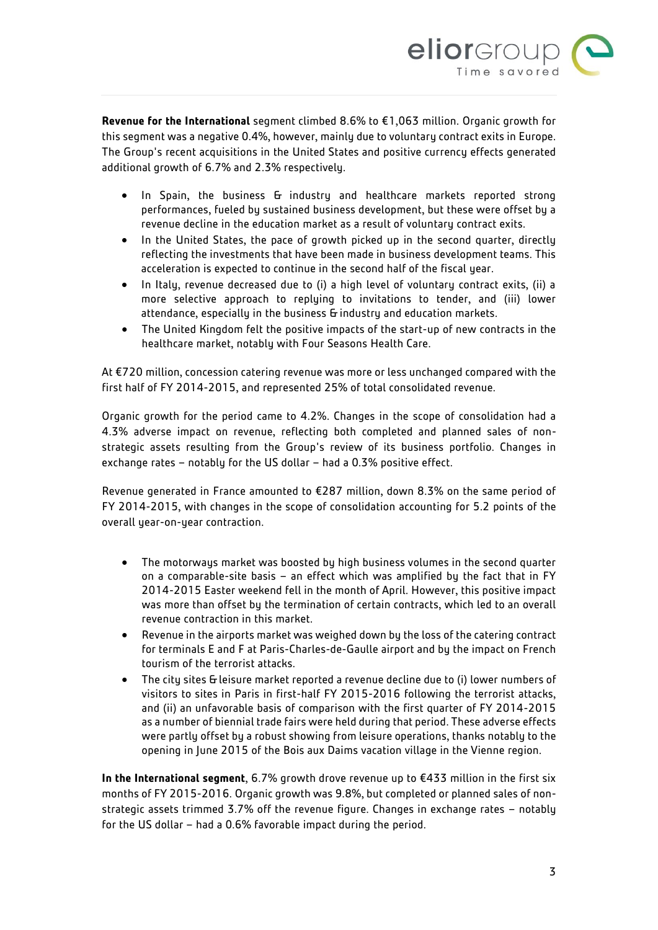

**Revenue for the International** segment climbed 8.6% to €1,063 million. Organic growth for this segment was a negative 0.4%, however, mainly due to voluntary contract exits in Europe. The Group's recent acquisitions in the United States and positive currency effects generated additional growth of 6.7% and 2.3% respectively.

- In Spain, the business G industry and healthcare markets reported strong performances, fueled by sustained business development, but these were offset by a revenue decline in the education market as a result of voluntary contract exits.
- In the United States, the pace of growth picked up in the second quarter, directly reflecting the investments that have been made in business development teams. This acceleration is expected to continue in the second half of the fiscal year.
- In Italy, revenue decreased due to (i) a high level of voluntary contract exits, (ii) a more selective approach to replying to invitations to tender, and (iii) lower attendance, especially in the business G industry and education markets.
- The United Kingdom felt the positive impacts of the start-up of new contracts in the healthcare market, notably with Four Seasons Health Care.

At €720 million, concession catering revenue was more or less unchanged compared with the first half of FY 2014-2015, and represented 25% of total consolidated revenue.

Organic growth for the period came to 4.2%. Changes in the scope of consolidation had a 4.3% adverse impact on revenue, reflecting both completed and planned sales of nonstrategic assets resulting from the Group's review of its business portfolio. Changes in exchange rates – notably for the US dollar – had a 0.3% positive effect.

Revenue generated in France amounted to €287 million, down 8.3% on the same period of FY 2014-2015, with changes in the scope of consolidation accounting for 5.2 points of the overall year-on-year contraction.

- The motorways market was boosted by high business volumes in the second quarter on a comparable-site basis – an effect which was amplified by the fact that in FY 2014-2015 Easter weekend fell in the month of April. However, this positive impact was more than offset by the termination of certain contracts, which led to an overall revenue contraction in this market.
- Revenue in the airports market was weighed down by the loss of the catering contract for terminals E and F at Paris-Charles-de-Gaulle airport and by the impact on French tourism of the terrorist attacks.
- The city sites & leisure market reported a revenue decline due to (i) lower numbers of visitors to sites in Paris in first-half FY 2015-2016 following the terrorist attacks, and (ii) an unfavorable basis of comparison with the first quarter of FY 2014-2015 as a number of biennial trade fairs were held during that period. These adverse effects were partly offset by a robust showing from leisure operations, thanks notably to the opening in June 2015 of the Bois aux Daims vacation village in the Vienne region.

**In the International segment**, 6.7% growth drove revenue up to €433 million in the first six months of FY 2015-2016. Organic growth was 9.8%, but completed or planned sales of nonstrategic assets trimmed 3.7% off the revenue figure. Changes in exchange rates – notably for the US dollar – had a 0.6% favorable impact during the period.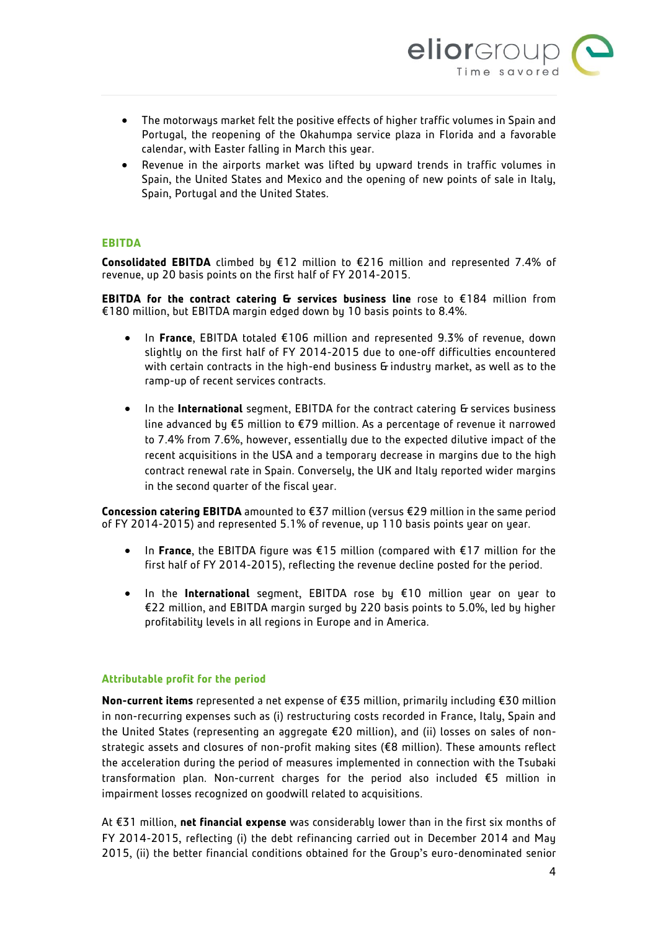

- The motorways market felt the positive effects of higher traffic volumes in Spain and Portugal, the reopening of the Okahumpa service plaza in Florida and a favorable calendar, with Easter falling in March this year.
- Revenue in the airports market was lifted by upward trends in traffic volumes in Spain, the United States and Mexico and the opening of new points of sale in Italy, Spain, Portugal and the United States.

## **EBITDA**

**Consolidated EBITDA** climbed by €12 million to €216 million and represented 7.4% of revenue, up 20 basis points on the first half of FY 2014-2015.

**EBITDA for the contract catering & services business line** rose to €184 million from €180 million, but EBITDA margin edged down by 10 basis points to 8.4%.

- In **France**, EBITDA totaled €106 million and represented 9.3% of revenue, down slightly on the first half of FY 2014-2015 due to one-off difficulties encountered with certain contracts in the high-end business & industry market, as well as to the ramp-up of recent services contracts.
- In the **International** segment, EBITDA for the contract catering & services business line advanced by €5 million to €79 million. As a percentage of revenue it narrowed to 7.4% from 7.6%, however, essentially due to the expected dilutive impact of the recent acquisitions in the USA and a temporary decrease in margins due to the high contract renewal rate in Spain. Conversely, the UK and Italy reported wider margins in the second quarter of the fiscal year.

**Concession catering EBITDA** amounted to €37 million (versus €29 million in the same period of FY 2014-2015) and represented 5.1% of revenue, up 110 basis points year on year.

- In **France**, the EBITDA figure was €15 million (compared with €17 million for the first half of FY 2014-2015), reflecting the revenue decline posted for the period.
- In the **International** segment, EBITDA rose by €10 million year on year to €22 million, and EBITDA margin surged by 220 basis points to 5.0%, led by higher profitability levels in all regions in Europe and in America.

## **Attributable profit for the period**

**Non-current items** represented a net expense of €35 million, primarily including €30 million in non-recurring expenses such as (i) restructuring costs recorded in France, Italy, Spain and the United States (representing an aggregate €20 million), and (ii) losses on sales of nonstrategic assets and closures of non-profit making sites (€8 million). These amounts reflect the acceleration during the period of measures implemented in connection with the Tsubaki transformation plan. Non-current charges for the period also included €5 million in impairment losses recognized on goodwill related to acquisitions.

At €31 million, **net financial expense** was considerably lower than in the first six months of FY 2014-2015, reflecting (i) the debt refinancing carried out in December 2014 and May 2015, (ii) the better financial conditions obtained for the Group's euro-denominated senior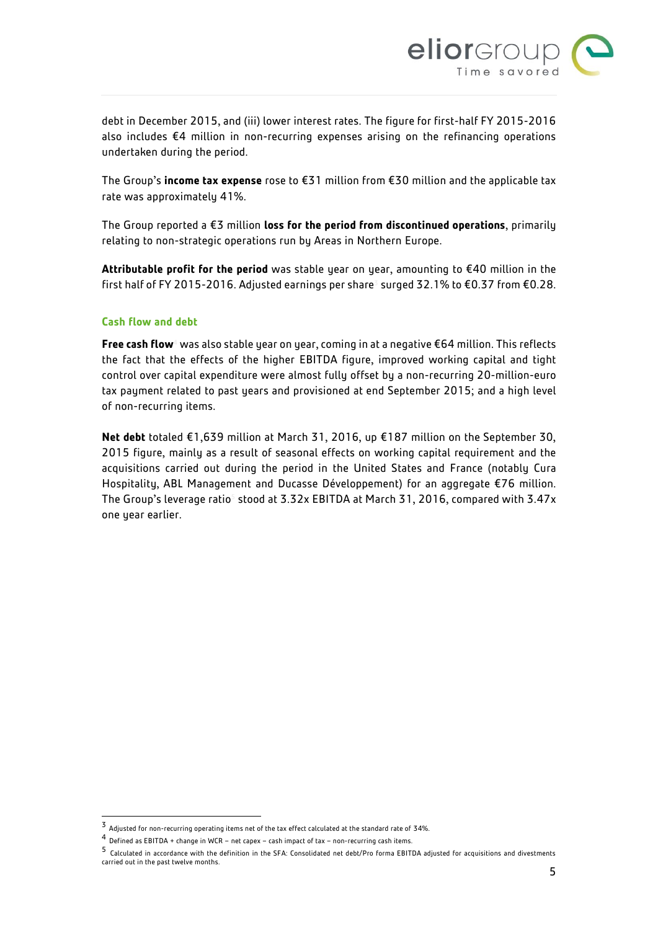

debt in December 2015, and (iii) lower interest rates. The figure for first-half FY 2015-2016 also includes €4 million in non-recurring expenses arising on the refinancing operations undertaken during the period.

The Group's **income tax expense** rose to €31 million from €30 million and the applicable tax rate was approximately 41%.

The Group reported a €3 million **loss for the period from discontinued operations**, primarily relating to non-strategic operations run by Areas in Northern Europe.

**Attributable profit for the period** was stable year on year, amounting to €40 million in the first half of FY 2015-2016. Adjusted earnings per share<sup>3</sup> surged 32.1% to €0.37 from €0.28.

## **Cash flow and debt**

l

**Free cash flow**<sup>4</sup> was also stable year on year, coming in at a negative €64 million. This reflects the fact that the effects of the higher EBITDA figure, improved working capital and tight control over capital expenditure were almost fully offset by a non-recurring 20-million-euro tax payment related to past years and provisioned at end September 2015; and a high level of non-recurring items.

**Net debt** totaled €1,639 million at March 31, 2016, up €187 million on the September 30, 2015 figure, mainly as a result of seasonal effects on working capital requirement and the acquisitions carried out during the period in the United States and France (notably Cura Hospitality, ABL Management and Ducasse Développement) for an aggregate €76 million. The Group's leverage ratio<sup>5</sup> stood at 3.32x EBITDA at March 31, 2016, compared with 3.47x one year earlier.

<sup>3</sup> Adjusted for non-recurring operating items net of the tax effect calculated at the standard rate of 34%.

<sup>4</sup> Defined as EBITDA + change in WCR – net capex – cash impact of tax – non-recurring cash items.

<sup>5</sup> Calculated in accordance with the definition in the SFA: Consolidated net debt/Pro forma EBITDA adjusted for acquisitions and divestments carried out in the past twelve months.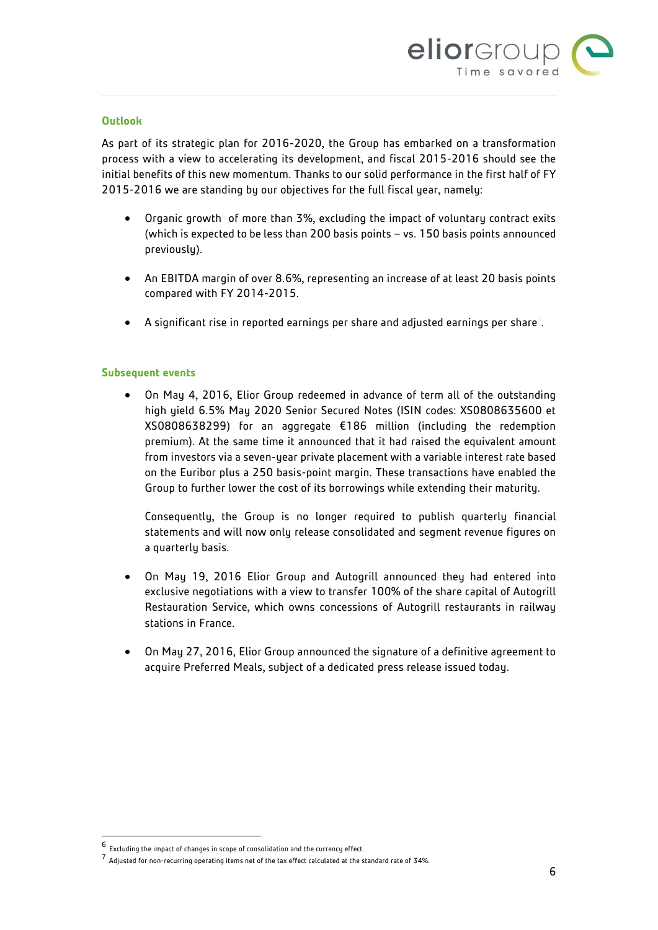

#### **Outlook**

As part of its strategic plan for 2016-2020, the Group has embarked on a transformation process with a view to accelerating its development, and fiscal 2015-2016 should see the initial benefits of this new momentum. Thanks to our solid performance in the first half of FY 2015-2016 we are standing by our objectives for the full fiscal year, namely:

- $\bullet$  Organic growth $^{\circ}$  of more than 3%, excluding the impact of voluntary contract exits (which is expected to be less than 200 basis points – vs. 150 basis points announced previously).
- An EBITDA margin of over 8.6%, representing an increase of at least 20 basis points compared with FY 2014-2015.
- A significant rise in reported earnings per share and adjusted earnings per share<sup>7</sup> .

#### **Subsequent events**

 On May 4, 2016, Elior Group redeemed in advance of term all of the outstanding high yield 6.5% May 2020 Senior Secured Notes (ISIN codes: XS0808635600 et XS0808638299) for an aggregate €186 million (including the redemption premium). At the same time it announced that it had raised the equivalent amount from investors via a seven-year private placement with a variable interest rate based on the Euribor plus a 250 basis-point margin. These transactions have enabled the Group to further lower the cost of its borrowings while extending their maturity.

Consequently, the Group is no longer required to publish quarterly financial statements and will now only release consolidated and segment revenue figures on a quarterly basis.

- On May 19, 2016 Elior Group and Autogrill announced they had entered into exclusive negotiations with a view to transfer 100% of the share capital of Autogrill Restauration Service, which owns concessions of Autogrill restaurants in railway stations in France.
- On May 27, 2016, Elior Group announced the signature of a definitive agreement to acquire Preferred Meals, subject of a dedicated press release issued today.

 $\overline{\phantom{a}}$ 

<sup>6</sup> Excluding the impact of changes in scope of consolidation and the currency effect.

<sup>7</sup> Adjusted for non-recurring operating items net of the tax effect calculated at the standard rate of 34%.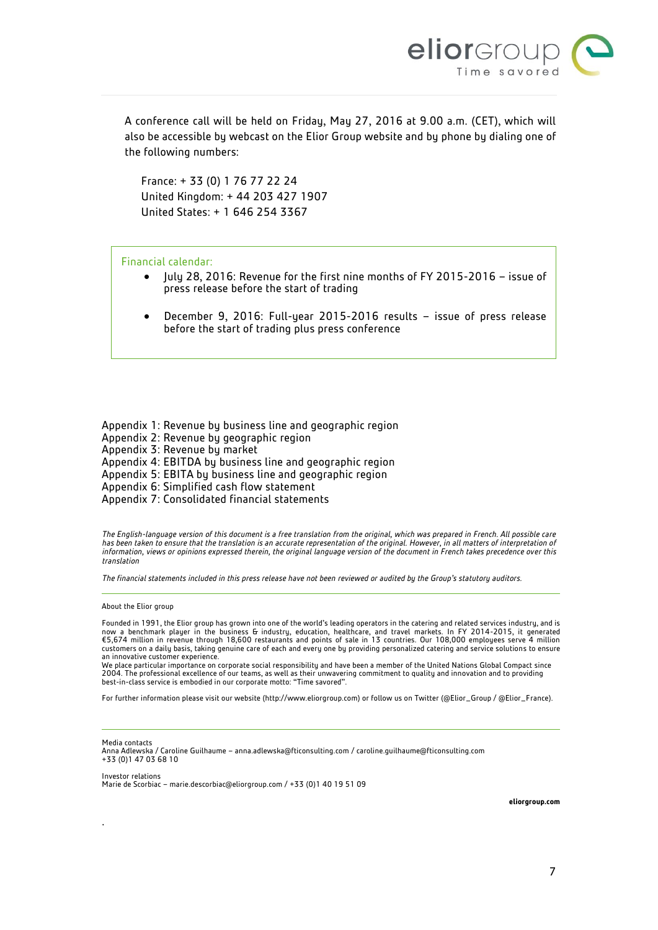

A conference call will be held on Friday, May 27, 2016 at 9.00 a.m. (CET), which will also be accessible by webcast on the Elior Group website and by phone by dialing one of the following numbers:

France: + 33 (0) 1 76 77 22 24 United Kingdom: + 44 203 427 1907 United States: + 1 646 254 3367

#### Financial calendar:

- July 28, 2016: Revenue for the first nine months of FY 2015-2016 issue of press release before the start of trading
- December 9, 2016: Full-year 2015-2016 results issue of press release before the start of trading plus press conference

Appendix 1: Revenue by business line and geographic region Appendix 2: Revenue by geographic region Appendix 3: Revenue by market Appendix 4: EBITDA by business line and geographic region Appendix 5: EBITA by business line and geographic region Appendix 6: Simplified cash flow statement

Appendix 7: Consolidated financial statements

*The English-language version of this document is a free translation from the original, which was prepared in French. All possible care*  has been taken to ensure that the translation is an accurate representation of the original. However, in all matters of interpretation of *information, views or opinions expressed therein, the original language version of the document in French takes precedence over this translation*

*The financial statements included in this press release have not been reviewed or audited by the Group's statutory auditors.*

About the Elior group

.

Founded in 1991, the Elior group has grown into one of the world's leading operators in the catering and related services industry, and is now a benchmark player in the business & industry, education, healthcare, and travel markets. In FY 2014-2015, it generated<br>€5,674 million in revenue through 18,600 restaurants and points of sale in 13 countries. Our 108, customers on a daily basis, taking genuine care of each and every one by providing personalized catering and service solutions to ensure an innovative customer experience.

We place particular importance on corporate social responsibility and have been a member of the United Nations Global Compact since 2004. The professional excellence of our teams, as well as their unwavering commitment to quality and innovation and to providing best-in-class service is embodied in our corporate motto: "Time savored".

For further information please visit our website (http://www.eliorgroup.com) or follow us on Twitter (@Elior\_Group / @Elior\_France).

Media contacts Anna Adlewska / Caroline Guilhaume – [anna.adlewska@fticonsulting.com](mailto:anna.adlewska@fticonsulting.com) [/ caroline.guilhaume@fticonsulting.com](mailto:caroline.guilhaume@fticonsulting.com) +33 (0)1 47 03 68 10

Investor relations Marie de Scorbiac – [marie.descorbiac@eliorgroup.com](mailto:marie.descorbiac@eliorgroup.com) / +33 (0)1 40 19 51 09

**eliorgroup.com**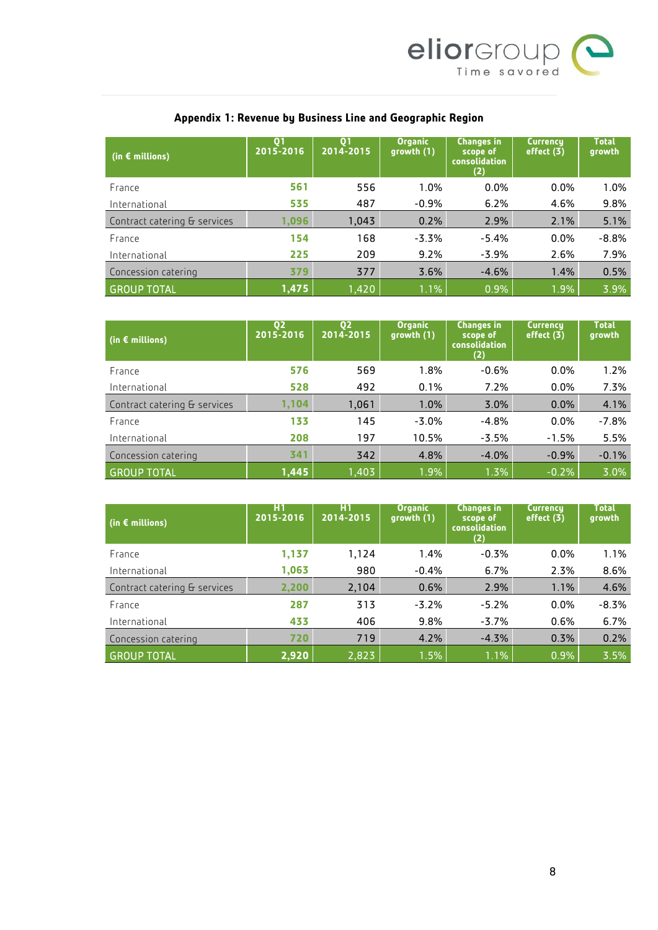

| (in $\epsilon$ millions)     | Q <sub>1</sub><br>2015-2016 | $\mathbf{0}$<br>2014-2015 | <b>Organic</b><br>growth (1) | <b>Changes in</b><br>scope of<br>consolidation<br>(2) | <b>Currency</b><br>effect $(3)$ | <b>Total</b><br>growth |
|------------------------------|-----------------------------|---------------------------|------------------------------|-------------------------------------------------------|---------------------------------|------------------------|
| France                       | 561                         | 556                       | 1.0%                         | $0.0\%$                                               | 0.0%                            | 1.0%                   |
| International                | 535                         | 487                       | $-0.9%$                      | 6.2%                                                  | 4.6%                            | 9.8%                   |
| Contract catering & services | 0.096                       | 1,043                     | 0.2%                         | 2.9%                                                  | 2.1%                            | 5.1%                   |
| France                       | 154                         | 168                       | $-3.3%$                      | $-5.4%$                                               | 0.0%                            | $-8.8%$                |
| International                | 225                         | 209                       | 9.2%                         | $-3.9%$                                               | 2.6%                            | 7.9%                   |
| Concession catering          | 379                         | 377                       | 3.6%                         | $-4.6%$                                               | 1.4%                            | 0.5%                   |
| <b>GROUP TOTAL</b>           | 1,475                       | 1,420                     | 1.1%                         | 0.9%                                                  | 1.9%                            | 3.9%                   |

# **Appendix 1: Revenue by Business Line and Geographic Region**

| $\mid$ (in $\epsilon$ millions) | Q <sub>2</sub><br>2015-2016 | 02<br>2014-2015 | <b>Organic</b><br>growth (1) | <b>Changes in</b><br>scope of<br><b>consolidation</b><br>(2) | <b>Currency</b><br>effect $(3)$ | <b>Total</b><br>growth |
|---------------------------------|-----------------------------|-----------------|------------------------------|--------------------------------------------------------------|---------------------------------|------------------------|
| France                          | 576                         | 569             | 1.8%                         | $-0.6%$                                                      | 0.0%                            | 1.2%                   |
| International                   | 528                         | 492             | 0.1%                         | 7.2%                                                         | 0.0%                            | 7.3%                   |
| Contract catering & services    | 1,104                       | 1,061           | 1.0%                         | 3.0%                                                         | $0.0\%$                         | 4.1%                   |
| France                          | 133                         | 145             | $-3.0%$                      | $-4.8%$                                                      | 0.0%                            | $-7.8%$                |
| International                   | 208                         | 197             | 10.5%                        | $-3.5%$                                                      | $-1.5%$                         | 5.5%                   |
| Concession catering             | 341                         | 342             | 4.8%                         | $-4.0%$                                                      | $-0.9%$                         | $-0.1%$                |
| <b>GROUP TOTAL</b>              | 1,445                       | 1.403           | 1.9%                         | 1.3%                                                         | $-0.2%$                         | 3.0%                   |

| $\mid$ (in $\epsilon$ millions) | H1<br>2015-2016 | H <sub>1</sub><br>2014-2015 | <b>Organic</b><br>growth(1) | <b>Changes in</b><br>scope of<br><b>consolidation</b><br>(2) | <b>Currency</b><br>effect (3) | <b>Total</b><br>growth |
|---------------------------------|-----------------|-----------------------------|-----------------------------|--------------------------------------------------------------|-------------------------------|------------------------|
| France                          | 1,137           | 1,124                       | 1.4%                        | $-0.3%$                                                      | 0.0%                          | 1.1%                   |
| International                   | 1,063           | 980                         | $-0.4%$                     | 6.7%                                                         | 2.3%                          | 8.6%                   |
| Contract catering & services    | 2,200           | 2,104                       | 0.6%                        | 2.9%                                                         | 1.1%                          | 4.6%                   |
| France                          | 287             | 313                         | $-3.2%$                     | $-5.2%$                                                      | 0.0%                          | $-8.3%$                |
| International                   | 433             | 406                         | 9.8%                        | $-3.7%$                                                      | 0.6%                          | 6.7%                   |
| Concession catering             | 720             | 719                         | 4.2%                        | $-4.3%$                                                      | 0.3%                          | 0.2%                   |
| <b>GROUP TOTAL</b>              | 2,920           | 2,823                       | 1.5%                        | 1.1%                                                         | 0.9%                          | 3.5%                   |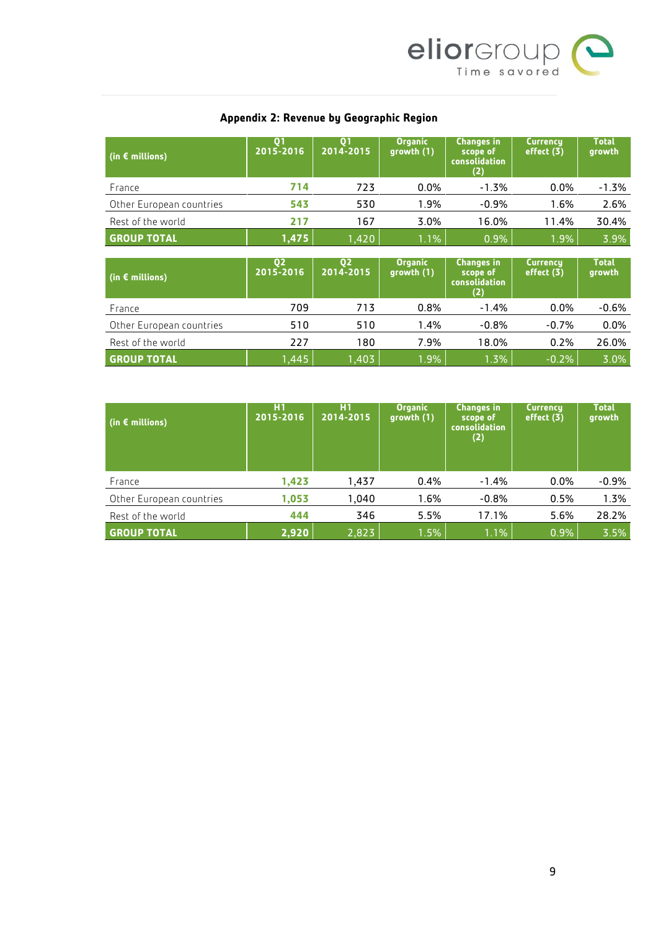

## **Appendix 2: Revenue by Geographic Region**

| $\mid$ (in $\epsilon$ millions) | 2015-2016 | 01<br>2014-2015 | <b>Organic</b><br>growth(1) | <b>Changes in</b><br>scope of<br>consolidation<br>(2) | <b>Currency</b><br>effect (3) | Total<br>growth |
|---------------------------------|-----------|-----------------|-----------------------------|-------------------------------------------------------|-------------------------------|-----------------|
| France                          | 714       | 723             | 0.0%                        | $-1.3%$                                               | $0.0\%$                       | -1.3%           |
| Other European countries        | 543       | 530             | 1.9%                        | $-0.9\%$                                              | 1.6%                          | 2.6%            |
| Rest of the world               | 217       | 167             | 3.0%                        | 16.0%                                                 | 11.4%                         | 30.4%           |
| <b>GROUP TOTAL</b>              | 1,475     | 1,420           | $1.1\%$                     | 0.9%                                                  | $1.9\%$                       | 3.9%            |

| $\mid$ (in $\epsilon$ millions) | 02<br>2015-2016 | 02<br>2014-2015 | <b>Organic</b><br>growth(1) | <b>Changes in</b><br>scope of<br>consolidation<br>(2) | <b>Currency</b><br>effect (3) | <b>Total</b><br>growth |
|---------------------------------|-----------------|-----------------|-----------------------------|-------------------------------------------------------|-------------------------------|------------------------|
| France                          | 709             | 713             | 0.8%                        | $-1.4\%$                                              | $0.0\%$                       | $-0.6\%$               |
| Other European countries        | 510             | 510             | 1.4%                        | $-0.8%$                                               | $-0.7%$                       | $0.0\%$                |
| Rest of the world               | 227             | 180             | 7.9%                        | 18.0%                                                 | 0.2%                          | 26.0%                  |
| <b>GROUP TOTAL</b>              | ,445            | 1,403           | 1.9%                        | 1.3%                                                  | $-0.2%$                       | 3.0%                   |

| (in $\epsilon$ millions) | H <sub>1</sub><br>2015-2016 | H1<br>2014-2015 | <b>Organic</b><br>growth (1) | <b>Changes in</b><br>scope of<br><b>consolidation</b><br>(2) | <b>Currency</b><br>effect (3) | <b>Total</b><br>growth |
|--------------------------|-----------------------------|-----------------|------------------------------|--------------------------------------------------------------|-------------------------------|------------------------|
| France                   | 1,423                       | 1,437           | 0.4%                         | $-1.4%$                                                      | $0.0\%$                       | $-0.9%$                |
| Other European countries | 1,053                       | 1.040           | 1.6%                         | $-0.8%$                                                      | 0.5%                          | 1.3%                   |
| Rest of the world        | 444                         | 346             | 5.5%                         | 17.1%                                                        | 5.6%                          | 28.2%                  |
| <b>GROUP TOTAL</b>       | 2,920                       | 2,823           | 1.5%                         | 1.1%                                                         | 0.9%                          | 3.5%                   |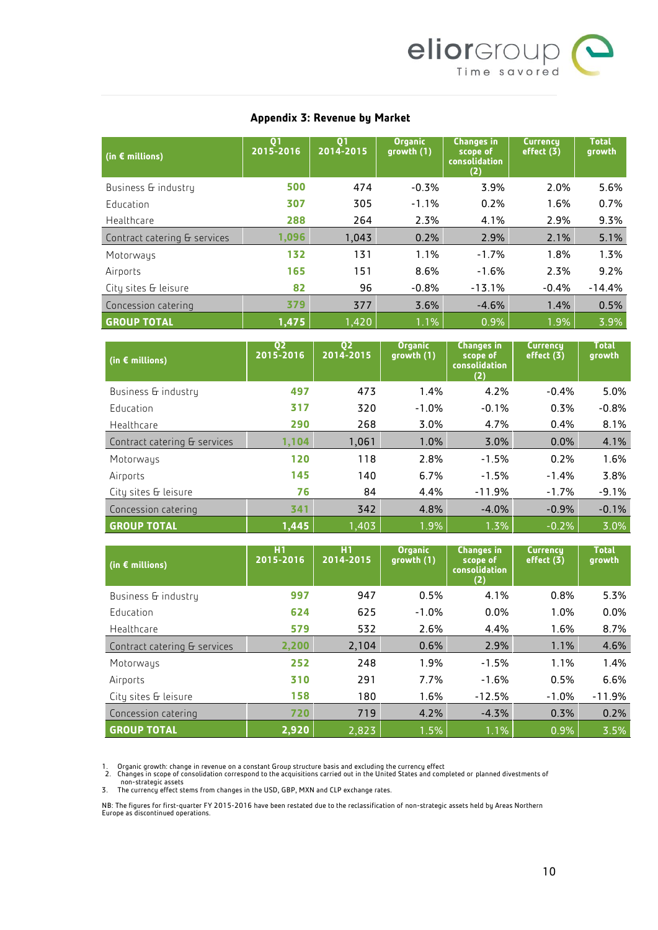

#### **Appendix 3: Revenue by Market**

| (in $\epsilon$ millions)     | Q <sub>1</sub><br>2015-2016 | Q <sub>1</sub><br>2014-2015 | <b>Organic</b><br>growth (1) | <b>Changes in</b><br>scope of<br>consolidation<br>(2) | <b>Currency</b><br>effect (3) | <b>Total</b><br>growth |
|------------------------------|-----------------------------|-----------------------------|------------------------------|-------------------------------------------------------|-------------------------------|------------------------|
| Business & industry          | 500                         | 474                         | $-0.3%$                      | 3.9%                                                  | 2.0%                          | 5.6%                   |
| Education                    | 307                         | 305                         | $-1.1%$                      | 0.2%                                                  | 1.6%                          | 0.7%                   |
| Healthcare                   | 288                         | 264                         | 2.3%                         | 4.1%                                                  | 2.9%                          | 9.3%                   |
| Contract catering & services | 1.096                       | 1.043                       | 0.2%                         | 2.9%                                                  | 2.1%                          | 5.1%                   |
| Motorways                    | 132                         | 131                         | 1.1%                         | $-1.7%$                                               | 1.8%                          | 1.3%                   |
| Airports                     | 165                         | 151                         | 8.6%                         | $-1.6%$                                               | 2.3%                          | 9.2%                   |
| City sites & leisure         | 82                          | 96                          | $-0.8%$                      | $-13.1%$                                              | $-0.4%$                       | $-14.4%$               |
| Concession catering          | 379                         | 377                         | 3.6%                         | $-4.6%$                                               | 1.4%                          | 0.5%                   |
| <b>GROUP TOTAL</b>           | 1,475                       | 1,420                       | 1.1%                         | 0.9%                                                  | 1.9%                          | 3.9%                   |

| (in $\epsilon$ millions)     | Q <sub>2</sub><br>2015-2016 | Q <sub>2</sub><br>2014-2015 | <b>Organic</b><br>growth (1) | <b>Changes in</b><br>scope of<br><b>consolidation</b><br>(2) | <b>Currency</b><br>effect (3) | <b>Total</b><br>growth |
|------------------------------|-----------------------------|-----------------------------|------------------------------|--------------------------------------------------------------|-------------------------------|------------------------|
| Business & industry          | 497                         | 473                         | 1.4%                         | 4.2%                                                         | $-0.4%$                       | 5.0%                   |
| Education                    | 317                         | 320                         | $-1.0%$                      | $-0.1%$                                                      | 0.3%                          | $-0.8%$                |
| Healthcare                   | 290                         | 268                         | 3.0%                         | 4.7%                                                         | 0.4%                          | 8.1%                   |
| Contract catering & services | 1,104                       | 1,061                       | 1.0%                         | 3.0%                                                         | 0.0%                          | 4.1%                   |
| Motorways                    | 120                         | 118                         | 2.8%                         | $-1.5%$                                                      | 0.2%                          | 1.6%                   |
| Airports                     | 145                         | 140                         | 6.7%                         | $-1.5%$                                                      | $-1.4%$                       | 3.8%                   |
| City sites & leisure         | 76                          | 84                          | 4.4%                         | $-11.9%$                                                     | $-1.7%$                       | $-9.1%$                |
| Concession catering          | 341                         | 342                         | 4.8%                         | $-4.0%$                                                      | $-0.9%$                       | $-0.1%$                |
| <b>GROUP TOTAL</b>           | 1,445                       | 1.403                       | 1.9%                         | 1.3%                                                         | $-0.2%$                       | 3.0%                   |

| (in $\epsilon$ millions)     | H1<br>2015-2016 | H1<br>2014-2015 | <b>Organic</b><br>growth(1) | <b>Changes in</b><br>scope of<br>consolidation<br>(2) | <b>Currency</b><br>effect (3) | <b>Total</b><br>growth |
|------------------------------|-----------------|-----------------|-----------------------------|-------------------------------------------------------|-------------------------------|------------------------|
| Business & industry          | 997             | 947             | 0.5%                        | 4.1%                                                  | 0.8%                          | 5.3%                   |
| Education                    | 624             | 625             | $-1.0%$                     | 0.0%                                                  | 1.0%                          | 0.0%                   |
| Healthcare                   | 579             | 532             | 2.6%                        | 4.4%                                                  | 1.6%                          | 8.7%                   |
| Contract catering & services | 2,200           | 2,104           | 0.6%                        | 2.9%                                                  | 1.1%                          | 4.6%                   |
| Motorways                    | 252             | 248             | 1.9%                        | $-1.5%$                                               | 1.1%                          | 1.4%                   |
| Airports                     | 310             | 291             | 7.7%                        | $-1.6%$                                               | 0.5%                          | 6.6%                   |
| City sites & leisure         | 158             | 180             | 1.6%                        | $-12.5%$                                              | $-1.0%$                       | $-11.9%$               |
| Concession catering          | 720             | 719             | 4.2%                        | $-4.3%$                                               | 0.3%                          | 0.2%                   |
| <b>GROUP TOTAL</b>           | 2.920           | 2,823           | 1.5%                        | 1.1%                                                  | 0.9%                          | 3.5%                   |

1. Organic growth: change in revenue on a constant Group structure basis and excluding the currency effect<br>2. Changes in scope of consolidation correspond to the acquisitions carried out in the United States and completed

NB: The figures for first-quarter FY 2015-2016 have been restated due to the reclassification of non-strategic assets held by Areas Northern Europe as discontinued operations.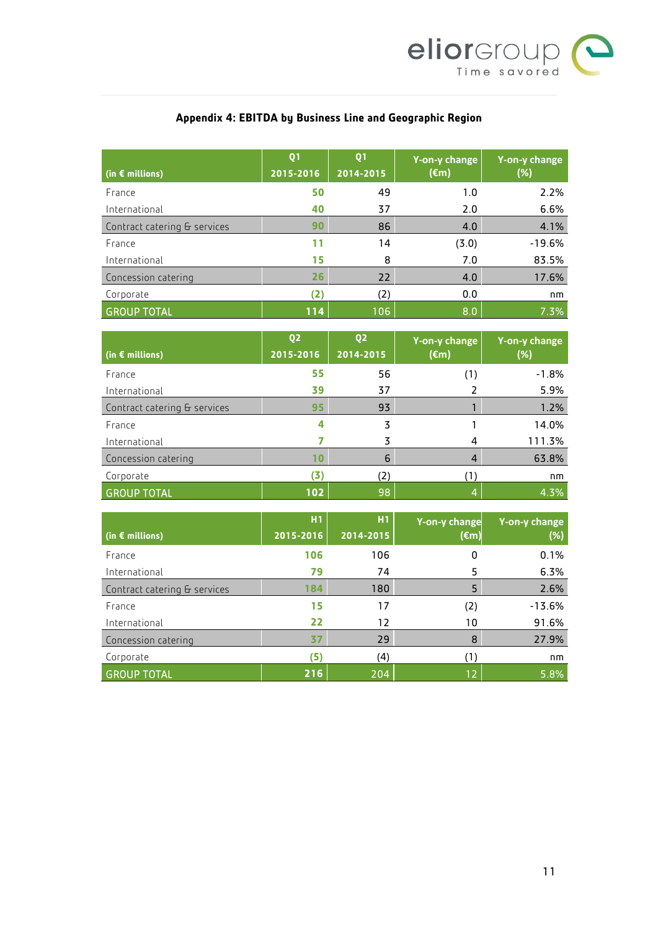

# **Appendix 4: EBITDA by Business Line and Geographic Region**

| (in $\epsilon$ millions)     | Q <sub>1</sub><br>2015-2016 | Q <sub>1</sub><br>2014-2015 | Y-on-y change<br>$(\epsilon m)$ | Y-on-y change<br>(%) |
|------------------------------|-----------------------------|-----------------------------|---------------------------------|----------------------|
| France                       | 50                          | 49                          | 1.0                             | 2.2%                 |
| International                | 40                          | 37                          | 2.0                             | 6.6%                 |
| Contract catering & services | 90                          | 86                          | 4.0                             | 4.1%                 |
| France                       | 11                          | 14                          | (3.0)                           | $-19.6%$             |
| International                | 15                          | 8                           | 7.0                             | 83.5%                |
| Concession catering          | 26                          | 22                          | 4.0                             | 17.6%                |
| Corporate                    | (2)                         | (2)                         | 0.0                             | nm                   |
| <b>GROUP TOTAL</b>           | 114                         | 106                         | 8.0                             | 7.3%                 |

| (in $\epsilon$ millions)     | Q <sub>2</sub><br>2015-2016 | Q <sub>2</sub><br>2014-2015 | Y-on-y change<br>$(\epsilon m)$ | Y-on-y change<br>(%) |
|------------------------------|-----------------------------|-----------------------------|---------------------------------|----------------------|
| France                       | 55                          | 56                          | (1)                             | $-1.8%$              |
| International                | 39                          | 37                          |                                 | 5.9%                 |
| Contract catering & services | 95                          | 93                          |                                 | 1.2%                 |
| France                       | 4                           | 3                           |                                 | 14.0%                |
| International                |                             | 3                           |                                 | 111.3%               |
| Concession catering          | 10                          | 6                           | 4                               | 63.8%                |
| Corporate                    | (3                          | '2)                         |                                 | nm                   |
| <b>GROUP TOTAL</b>           | 102                         | 98                          |                                 | 4.3%                 |

|                              | H1        | H1        | Y-on-y change  | Y-on-y change |
|------------------------------|-----------|-----------|----------------|---------------|
| (in $\epsilon$ millions)     | 2015-2016 | 2014-2015 | $(\epsilon m)$ | (%)           |
| France                       | 106       | 106       | 0              | 0.1%          |
| International                | 79        | 74        | 5              | 6.3%          |
| Contract catering & services | 184       | 180       | 5              | 2.6%          |
| France                       | 15        | 17        | (2)            | $-13.6%$      |
| International                | 22        | 12        | 10             | 91.6%         |
| Concession catering          | 37        | 29        | 8              | 27.9%         |
| Corporate                    | (5        | (4)       |                | nm            |
| <b>GROUP TOTAL</b>           | 216       | 204       | 12             | 5.8%          |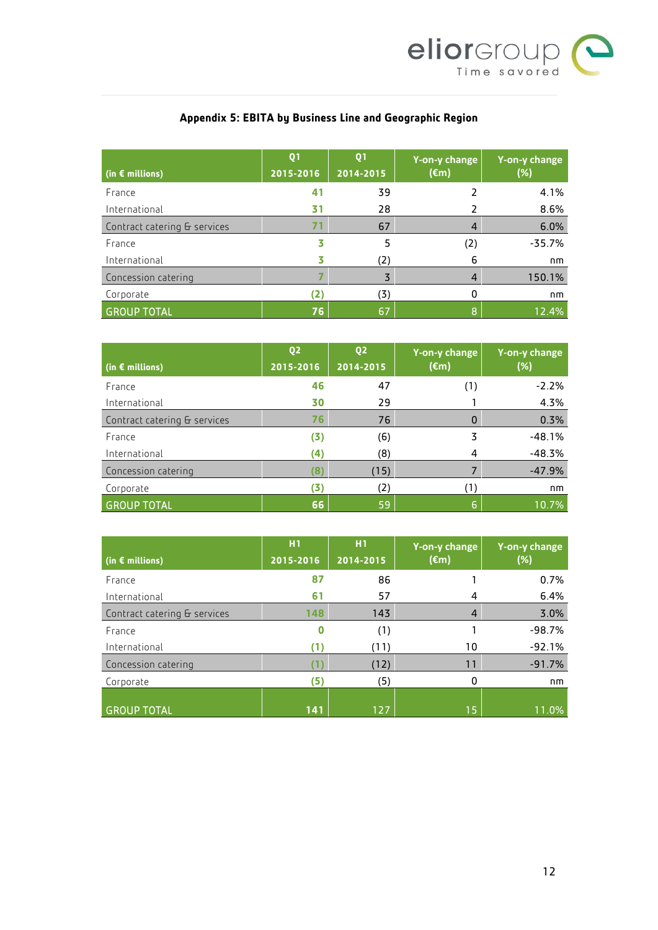

## **Appendix 5: EBITA by Business Line and Geographic Region**

| $\mid$ (in $\epsilon$ millions) | Q <sub>1</sub><br>2015-2016 | Q <sub>1</sub><br>2014-2015 | Y-on-y change<br>$(\epsilon m)$ | Y-on-y change<br>(%) |
|---------------------------------|-----------------------------|-----------------------------|---------------------------------|----------------------|
| France                          | 41                          | 39                          |                                 | 4.1%                 |
| International                   | 31                          | 28                          |                                 | 8.6%                 |
| Contract catering & services    | 7'                          | 67                          |                                 | 6.0%                 |
| France                          |                             | 5                           | (2)                             | $-35.7%$             |
| International                   |                             | (2)                         | 6                               | nm                   |
| Concession catering             |                             | 3                           |                                 | 150.1%               |
| Corporate                       | (2)                         | (3)                         | 0                               | nm                   |
| <b>GROUP TOTAL</b>              | 76                          | 67                          | 8                               | 12.4%                |

| $\mid$ (in $\epsilon$ millions) | Q <sub>2</sub><br>2015-2016 | Q <sub>2</sub><br>2014-2015 | Y-on-y change<br>$(\epsilon m)$ | Y-on-y change<br>(%) |
|---------------------------------|-----------------------------|-----------------------------|---------------------------------|----------------------|
| France                          | 46                          | 47                          | (1)                             | $-2.2%$              |
| International                   | 30                          | 29                          |                                 | 4.3%                 |
| Contract catering & services    | 76                          | 76                          | 0                               | 0.3%                 |
| France                          | (3)                         | (6)                         | 3                               | $-48.1%$             |
| International                   | (4)                         | (8)                         |                                 | $-48.3%$             |
| Concession catering             | (8                          | (15)                        |                                 | $-47.9%$             |
| Corporate                       | (3)                         | (2)                         | (1)                             | nm                   |
| <b>GROUP TOTAL</b>              | 66                          | 59                          | 6                               | 10.7%                |

| (in $\epsilon$ millions)     | H1<br>2015-2016 | H1<br>2014-2015 | Y-on-y change<br>$(\epsilon m)$ | Y-on-y change<br>(%) |
|------------------------------|-----------------|-----------------|---------------------------------|----------------------|
| France                       | 87              | 86              |                                 | 0.7%                 |
| International                | 61              | 57              | 4                               | 6.4%                 |
| Contract catering & services | 148             | 143             | 4                               | 3.0%                 |
| France                       |                 | (1)             |                                 | $-98.7%$             |
| International                | (1              | (11)            | 10                              | $-92.1%$             |
| Concession catering          |                 | (12)            | 11                              | $-91.7%$             |
| Corporate                    | 6               | (5)             | 0                               | nm                   |
| <b>GROUP TOTAL</b>           | 141             | 127             | 15                              | 11.0%                |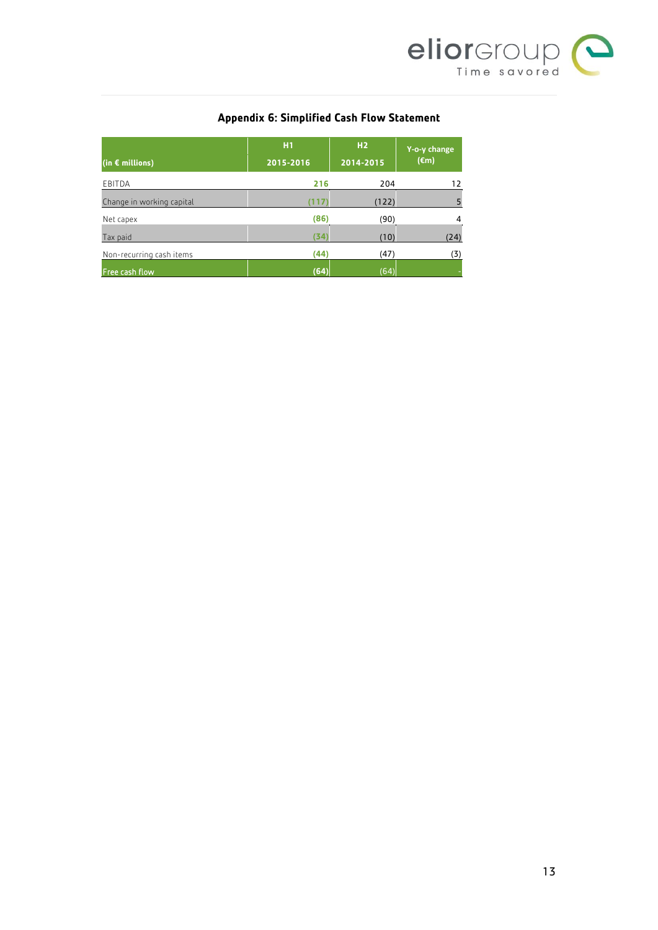

## **Appendix 6: Simplified Cash Flow Statement**

|                           | H1        | H <sub>2</sub> | Y-o-y change   |
|---------------------------|-----------|----------------|----------------|
| (in $\epsilon$ millions)  | 2015-2016 | 2014-2015      | $(\epsilon m)$ |
| EBITDA                    | 216       | 204            | 12             |
| Change in working capital | 1 I Z     | (122)          | 5              |
| Net capex                 | (86)      | (90)           | $\overline{4}$ |
| Tax paid                  | (34)      | (10)           | (24)           |
| Non-recurring cash items  | (44)      | (47)           | (3)            |
| Free cash flow            | (64)      | (64)           |                |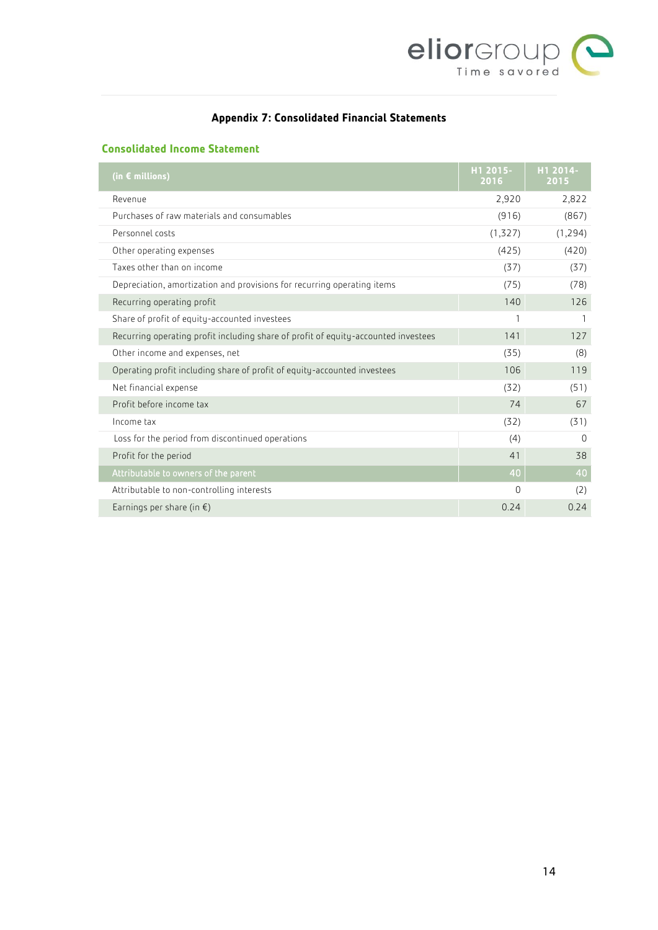

## **Appendix 7: Consolidated Financial Statements**

## **Consolidated Income Statement**

| (in $\epsilon$ millions)                                                           | H1 2015-<br>2016 | H1 2014-<br>2015 |
|------------------------------------------------------------------------------------|------------------|------------------|
| Revenue                                                                            | 2,920            | 2,822            |
| Purchases of raw materials and consumables                                         | (916)            | (867)            |
| Personnel costs                                                                    | (1,327)          | (1, 294)         |
| Other operating expenses                                                           | (425)            | (420)            |
| Taxes other than on income                                                         | (37)             | (37)             |
| Depreciation, amortization and provisions for recurring operating items            | (75)             | (78)             |
| Recurring operating profit                                                         | 140              | 126              |
| Share of profit of equity-accounted investees                                      | 1                |                  |
| Recurring operating profit including share of profit of equity-accounted investees | 141              | 127              |
| Other income and expenses, net                                                     | (35)             | (8)              |
| Operating profit including share of profit of equity-accounted investees           | 106              | 119              |
| Net financial expense                                                              | (32)             | (51)             |
| Profit before income tax                                                           | 74               | 67               |
| Income tax                                                                         | (32)             | (31)             |
| Loss for the period from discontinued operations                                   | (4)              | $\Omega$         |
| Profit for the period                                                              | 41               | 38               |
| Attributable to owners of the parent                                               | $\overline{40}$  | 40               |
| Attributable to non-controlling interests                                          | $\Omega$         | (2)              |
| Earnings per share (in $\xi$ )                                                     | 0.24             | 0.24             |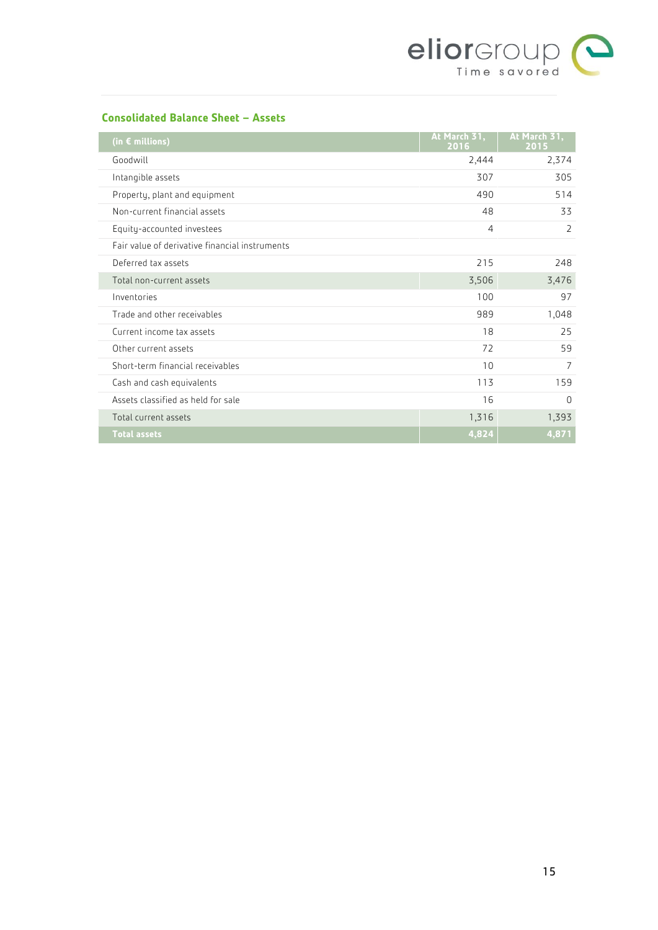

## **Consolidated Balance Sheet – Assets**

| (in $\epsilon$ millions)                       | At March 31,<br>2016 | At March 31,<br>2015 |
|------------------------------------------------|----------------------|----------------------|
| Goodwill                                       | 2,444                | 2,374                |
| Intangible assets                              | 307                  | 305                  |
| Property, plant and equipment                  | 490                  | 514                  |
| Non-current financial assets                   | 48                   | 33                   |
| Equity-accounted investees                     | 4                    | $\overline{2}$       |
| Fair value of derivative financial instruments |                      |                      |
| Deferred tax assets                            | 215                  | 248                  |
| Total non-current assets                       | 3,506                | 3,476                |
| Inventories                                    | 100                  | 97                   |
| Trade and other receivables                    | 989                  | 1,048                |
| Current income tax assets                      | 18                   | 25                   |
| Other current assets                           | 72                   | 59                   |
| Short-term financial receivables               | 10                   | $\overline{7}$       |
| Cash and cash equivalents                      | 113                  | 159                  |
| Assets classified as held for sale             | 16                   | $\Omega$             |
| Total current assets                           | 1,316                | 1,393                |
| <b>Total assets</b>                            | 4,824                | 4,871                |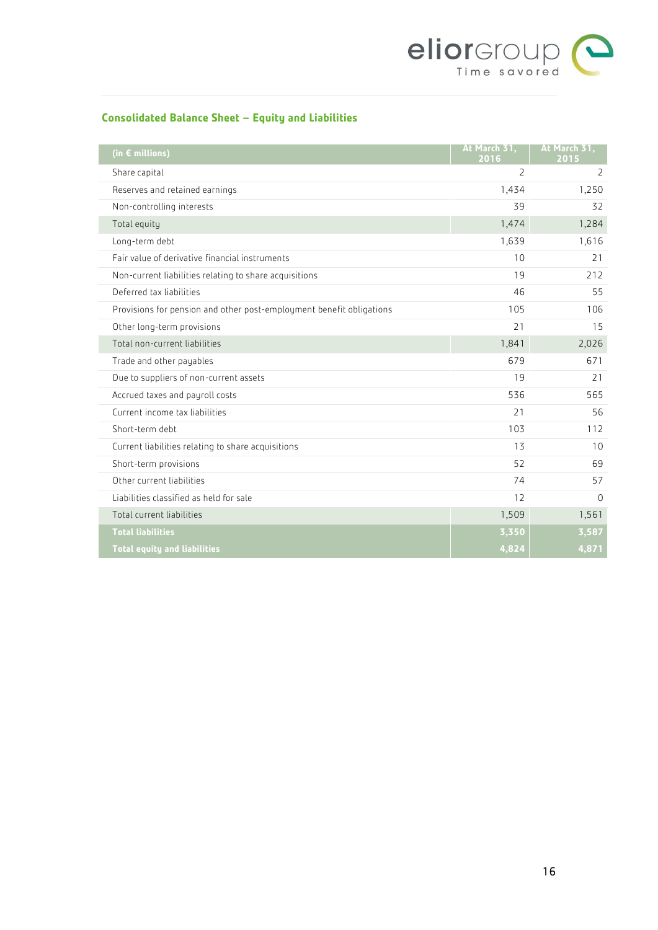

## **Consolidated Balance Sheet – Equity and Liabilities**

| (in $\epsilon$ millions)                                             | At March 31,<br>2016 | At March 31,<br>2015 |
|----------------------------------------------------------------------|----------------------|----------------------|
| Share capital                                                        | 2                    | 2                    |
| Reserves and retained earnings                                       | 1,434                | 1,250                |
| Non-controlling interests                                            | 39                   | 32                   |
| Total equity                                                         | 1,474                | 1,284                |
| Long-term debt                                                       | 1,639                | 1,616                |
| Fair value of derivative financial instruments                       | 10                   | 21                   |
| Non-current liabilities relating to share acquisitions               | 19                   | 212                  |
| Deferred tax liabilities                                             | 46                   | 55                   |
| Provisions for pension and other post-employment benefit obligations | 105                  | 106                  |
| Other long-term provisions                                           | 21                   | 15                   |
| Total non-current liabilities                                        | 1,841                | 2,026                |
| Trade and other payables                                             | 679                  | 671                  |
| Due to suppliers of non-current assets                               | 19                   | 21                   |
| Accrued taxes and payroll costs                                      | 536                  | 565                  |
| Current income tax liabilities                                       | 21                   | 56                   |
| Short-term debt                                                      | 103                  | 112                  |
| Current liabilities relating to share acquisitions                   | 13                   | 10                   |
| Short-term provisions                                                | 52                   | 69                   |
| Other current liabilities                                            | 74                   | 57                   |
| Liabilities classified as held for sale                              | 12                   | $\Omega$             |
| Total current liabilities                                            | 1,509                | 1,561                |
| <b>Total liabilities</b>                                             | 3,350                | 3,587                |
| <b>Total equity and liabilities</b>                                  | 4,824                | 4,871                |